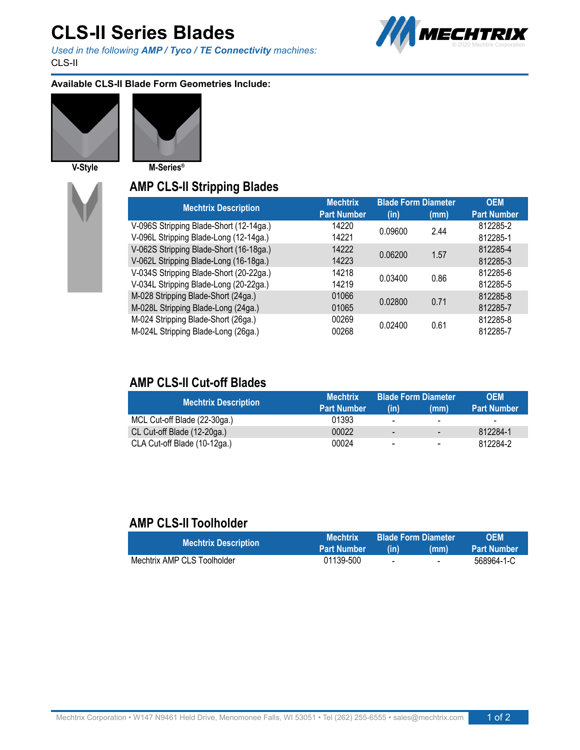# **CLS-II Series Blades**

*Used in the following AMP / Tyco / TE Connectivity machines:* CLS-II



#### **Available CLS-II Blade Form Geometries Include:**





**V-Style M-Series®**

#### **AMP CLS-II Stripping Blades**

| <b>Mechtrix Description</b>             | <b>Mechtrix</b>    | <b>Blade Form Diameter</b> |      | <b>OEM</b>         |
|-----------------------------------------|--------------------|----------------------------|------|--------------------|
|                                         | <b>Part Number</b> | (in)                       | (mm) | <b>Part Number</b> |
| V-096S Stripping Blade-Short (12-14ga.) | 14220              | 0.09600                    | 244  | 812285-2           |
| V-096L Stripping Blade-Long (12-14ga.)  | 14221              |                            |      | 812285-1           |
| V-062S Stripping Blade-Short (16-18ga.) | 14222              | 0.06200                    | 1.57 | 812285-4           |
| V-062L Stripping Blade-Long (16-18ga.)  | 14223              |                            |      | 812285-3           |
| V-034S Stripping Blade-Short (20-22ga.) | 14218              | 0.03400                    | 0.86 | 812285-6           |
| V-034L Stripping Blade-Long (20-22ga.)  | 14219              |                            |      | 812285-5           |
| M-028 Stripping Blade-Short (24ga.)     | 01066              | 0.02800                    | 0.71 | 812285-8           |
| M-028L Stripping Blade-Long (24ga.)     | 01065              |                            |      | 812285-7           |
| M-024 Stripping Blade-Short (26ga.)     | 00269              | 0.02400                    | 0.61 | 812285-8           |
| M-024L Stripping Blade-Long (26ga.)     | 00268              |                            |      | 812285-7           |

### **AMP CLS-II Cut-off Blades**

| <b>Mechtrix Description</b>  | <b>Mechtrix</b>    | <b>Blade Form Diameter</b> |                          | <b>OEM</b>         |
|------------------------------|--------------------|----------------------------|--------------------------|--------------------|
|                              | <b>Part Number</b> | (in)                       | (mm)                     | <b>Part Number</b> |
| MCL Cut-off Blade (22-30ga.) | 01393              | $\overline{\phantom{0}}$   | $\overline{\phantom{a}}$ | -                  |
| CL Cut-off Blade (12-20ga.)  | 00022              | .                          | $\blacksquare$           | 812284-1           |
| CLA Cut-off Blade (10-12ga.) | 00024              | $\blacksquare$             | $\blacksquare$           | 812284-2           |

### **AMP CLS-II Toolholder**

| <b>Mechtrix Description</b> | <b>Mechtrix</b>    | <b>Blade Form Diameter</b> |                          | <b>OFM</b>         |
|-----------------------------|--------------------|----------------------------|--------------------------|--------------------|
|                             | <b>Part Number</b> | (in)                       | (mm)                     | <b>Part Number</b> |
| Mechtrix AMP CLS Toolholder | 01139-500          | $\sim$                     | $\overline{\phantom{0}}$ | 568964-1-C         |